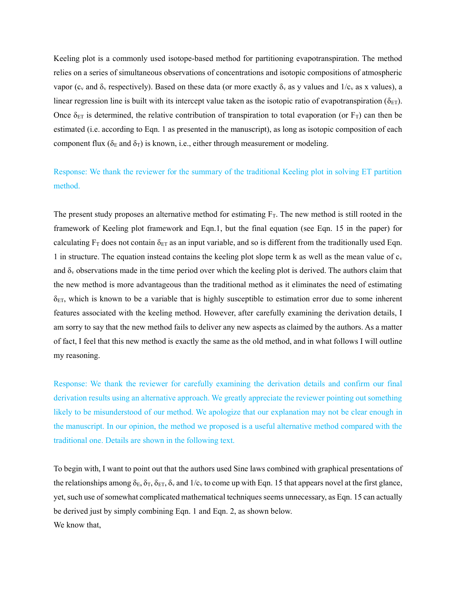Keeling plot is a commonly used isotope-based method for partitioning evapotranspiration. The method relies on a series of simultaneous observations of concentrations and isotopic compositions of atmospheric vapor (c<sub>v</sub> and  $\delta_v$  respectively). Based on these data (or more exactly  $\delta_v$  as y values and  $1/c_v$  as x values), a linear regression line is built with its intercept value taken as the isotopic ratio of evapotranspiration ( $\delta_{ET}$ ). Once  $\delta_{ET}$  is determined, the relative contribution of transpiration to total evaporation (or  $F_T$ ) can then be estimated (i.e. according to Eqn. 1 as presented in the manuscript), as long as isotopic composition of each component flux ( $\delta_E$  and  $\delta_T$ ) is known, i.e., either through measurement or modeling.

Response: We thank the reviewer for the summary of the traditional Keeling plot in solving ET partition method.

The present study proposes an alternative method for estimating  $F<sub>T</sub>$ . The new method is still rooted in the framework of Keeling plot framework and Eqn.1, but the final equation (see Eqn. 15 in the paper) for calculating  $F_T$  does not contain  $\delta_{ET}$  as an input variable, and so is different from the traditionally used Eqn. 1 in structure. The equation instead contains the keeling plot slope term k as well as the mean value of  $c_v$ and  $\delta_y$  observations made in the time period over which the keeling plot is derived. The authors claim that the new method is more advantageous than the traditional method as it eliminates the need of estimating  $\delta_{ET}$ , which is known to be a variable that is highly susceptible to estimation error due to some inherent features associated with the keeling method. However, after carefully examining the derivation details, I am sorry to say that the new method fails to deliver any new aspects as claimed by the authors. As a matter of fact, I feel that this new method is exactly the same as the old method, and in what follows I will outline my reasoning.

Response: We thank the reviewer for carefully examining the derivation details and confirm our final derivation results using an alternative approach. We greatly appreciate the reviewer pointing out something likely to be misunderstood of our method. We apologize that our explanation may not be clear enough in the manuscript. In our opinion, the method we proposed is a useful alternative method compared with the traditional one. Details are shown in the following text.

To begin with, I want to point out that the authors used Sine laws combined with graphical presentations of the relationships among  $\delta_E$ ,  $\delta_T$ ,  $\delta_{ET}$ ,  $\delta_v$  and  $1/c_v$  to come up with Eqn. 15 that appears novel at the first glance, yet, such use of somewhat complicated mathematical techniques seems unnecessary, as Eqn. 15 can actually be derived just by simply combining Eqn. 1 and Eqn. 2, as shown below. We know that,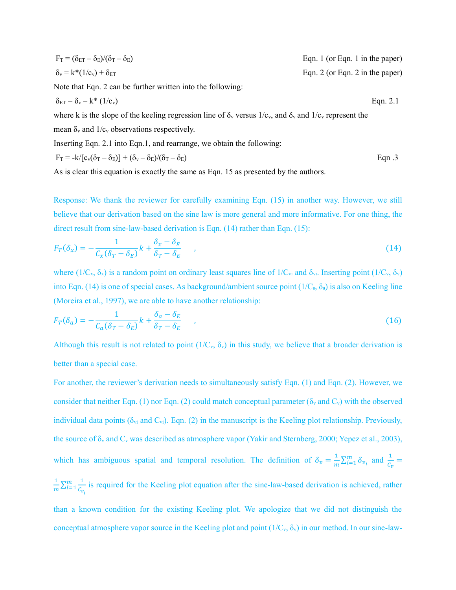$$
F_T = (\delta_{ET} - \delta_E)/(\delta_T - \delta_E)
$$
 Eqn. 1 (or Eqn. 1 in the paper)  
\n
$$
\delta_v = k^*(1/c_v) + \delta_{ET}
$$
 Eqn. 2 (or Eqn. 2 in the paper)  
\nNote that Eqn. 2 can be further written into the following:

$$
\delta_{ET} = \delta_v - k^* \left(1/c_v\right) \tag{Eqn. 2.1}
$$

where k is the slope of the keeling regression line of  $\delta_y$  versus  $1/c_y$ , and  $\delta_y$  and  $1/c_y$  represent the

mean  $\delta_{\rm v}$  and  $1/c_{\rm v}$  observations respectively.

Inserting Eqn. 2.1 into Eqn.1, and rearrange, we obtain the following:

$$
F_T = -k/[c_v(\delta_T - \delta_E)] + (\delta_v - \delta_E)/(\delta_T - \delta_E)
$$
 Eqn.3

As is clear this equation is exactly the same as Eqn. 15 as presented by the authors.

Response: We thank the reviewer for carefully examining Eqn. (15) in another way. However, we still believe that our derivation based on the sine law is more general and more informative. For one thing, the direct result from sine-law-based derivation is Eqn. (14) rather than Eqn. (15):

$$
F_T(\delta_x) = -\frac{1}{C_x(\delta_T - \delta_E)}k + \frac{\delta_x - \delta_E}{\delta_T - \delta_E} \tag{14}
$$

where  $(1/C_x, \delta_x)$  is a random point on ordinary least squares line of  $1/C_y$  and  $\delta_{y}$ . Inserting point  $(1/C_y, \delta_y)$ into Eqn. (14) is one of special cases. As background/ambient source point ( $1/C_a$ ,  $\delta_a$ ) is also on Keeling line (Moreira et al., 1997), we are able to have another relationship:

$$
F_T(\delta_a) = -\frac{1}{C_a(\delta_T - \delta_E)}k + \frac{\delta_a - \delta_E}{\delta_T - \delta_E} \tag{16}
$$

Although this result is not related to point  $(1/C_v, \delta_v)$  in this study, we believe that a broader derivation is better than a special case.

For another, the reviewer's derivation needs to simultaneously satisfy Eqn. (1) and Eqn. (2). However, we consider that neither Eqn. (1) nor Eqn. (2) could match conceptual parameter ( $\delta_{\rm v}$  and  $\rm C_{\rm v}$ ) with the observed individual data points ( $\delta_{vi}$  and  $C_{vi}$ ). Eqn. (2) in the manuscript is the Keeling plot relationship. Previously, the source of  $\delta_y$  and  $C_y$  was described as atmosphere vapor (Yakir and Sternberg, 2000; Yepez et al., 2003), which has ambiguous spatial and temporal resolution. The definition of  $\delta_v = \frac{1}{r}$  $\frac{1}{m}\sum_{i=1}^{m} \delta_{v_i}$  and  $\frac{1}{c_v}$  = 1  $\frac{1}{m}\sum_{i=1}^{m}\frac{1}{C_v}$  $c_{v_i}$  $\frac{m}{i=1}$  is required for the Keeling plot equation after the sine-law-based derivation is achieved, rather than a known condition for the existing Keeling plot. We apologize that we did not distinguish the conceptual atmosphere vapor source in the Keeling plot and point  $(1/C_v, \delta_v)$  in our method. In our sine-law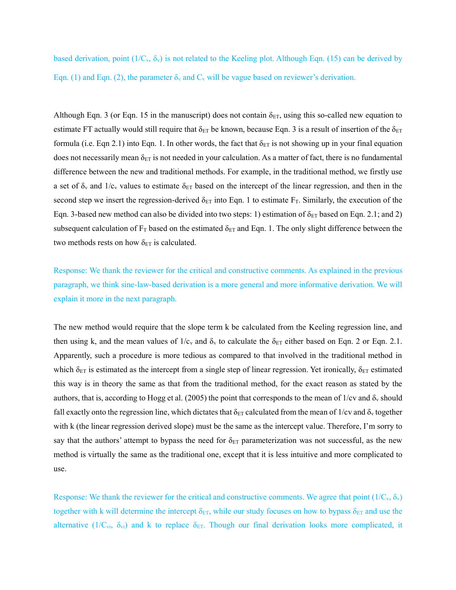based derivation, point  $(1/C_v, \delta_v)$  is not related to the Keeling plot. Although Eqn. (15) can be derived by Eqn. (1) and Eqn. (2), the parameter  $\delta_y$  and  $C_y$  will be vague based on reviewer's derivation.

Although Eqn. 3 (or Eqn. 15 in the manuscript) does not contain  $\delta_{ET}$ , using this so-called new equation to estimate FT actually would still require that  $\delta_{ET}$  be known, because Eqn. 3 is a result of insertion of the  $\delta_{ET}$ formula (i.e. Eqn 2.1) into Eqn. 1. In other words, the fact that  $\delta_{ET}$  is not showing up in your final equation does not necessarily mean  $\delta_{ET}$  is not needed in your calculation. As a matter of fact, there is no fundamental difference between the new and traditional methods. For example, in the traditional method, we firstly use a set of  $\delta_{\rm v}$  and  $1/c_{\rm v}$  values to estimate  $\delta_{\rm ET}$  based on the intercept of the linear regression, and then in the second step we insert the regression-derived  $\delta_{ET}$  into Eqn. 1 to estimate F<sub>T</sub>. Similarly, the execution of the Eqn. 3-based new method can also be divided into two steps: 1) estimation of  $\delta_{ET}$  based on Eqn. 2.1; and 2) subsequent calculation of  $F_T$  based on the estimated  $\delta_{ET}$  and Eqn. 1. The only slight difference between the two methods rests on how  $\delta_{ET}$  is calculated.

Response: We thank the reviewer for the critical and constructive comments. As explained in the previous paragraph, we think sine-law-based derivation is a more general and more informative derivation. We will explain it more in the next paragraph.

The new method would require that the slope term k be calculated from the Keeling regression line, and then using k, and the mean values of  $1/c_v$  and  $\delta_v$  to calculate the  $\delta_{ET}$  either based on Eqn. 2 or Eqn. 2.1. Apparently, such a procedure is more tedious as compared to that involved in the traditional method in which  $\delta_{ET}$  is estimated as the intercept from a single step of linear regression. Yet ironically,  $\delta_{ET}$  estimated this way is in theory the same as that from the traditional method, for the exact reason as stated by the authors, that is, according to Hogg et al. (2005) the point that corresponds to the mean of  $1/cv$  and  $\delta_v$  should fall exactly onto the regression line, which dictates that  $\delta_{ET}$  calculated from the mean of 1/cv and  $\delta_v$  together with k (the linear regression derived slope) must be the same as the intercept value. Therefore, I'm sorry to say that the authors' attempt to bypass the need for  $\delta_{ET}$  parameterization was not successful, as the new method is virtually the same as the traditional one, except that it is less intuitive and more complicated to use.

Response: We thank the reviewer for the critical and constructive comments. We agree that point  $(1/C_v, \delta_v)$ together with k will determine the intercept  $\delta_{ET}$ , while our study focuses on how to bypass  $\delta_{ET}$  and use the alternative (1/C<sub>vi</sub>,  $\delta_{\rm vi}$ ) and k to replace  $\delta_{\rm ET}$ . Though our final derivation looks more complicated, it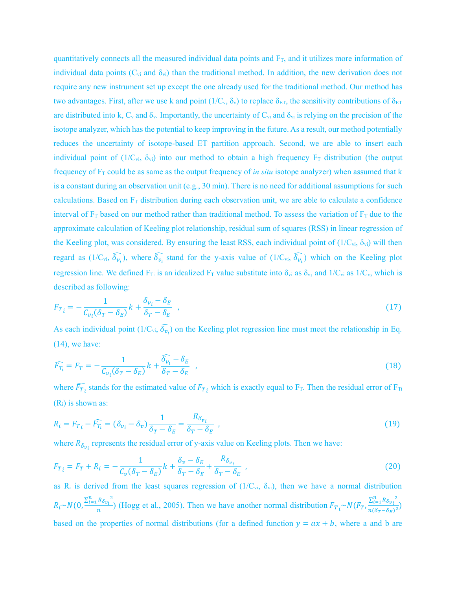quantitatively connects all the measured individual data points and  $F_T$ , and it utilizes more information of individual data points ( $C_{vi}$  and  $\delta_{vi}$ ) than the traditional method. In addition, the new derivation does not require any new instrument set up except the one already used for the traditional method. Our method has two advantages. First, after we use k and point  $(1/C_v, \delta_v)$  to replace  $\delta_{ET}$ , the sensitivity contributions of  $\delta_{ET}$ are distributed into k,  $C_v$  and  $\delta_v$ . Importantly, the uncertainty of  $C_{vi}$  and  $\delta_{vi}$  is relying on the precision of the isotope analyzer, which has the potential to keep improving in the future. As a result, our method potentially reduces the uncertainty of isotope-based ET partition approach. Second, we are able to insert each individual point of  $(1/C_{vi}, \delta_{vi})$  into our method to obtain a high frequency  $F_T$  distribution (the output frequency of  $F_T$  could be as same as the output frequency of *in situ* isotope analyzer) when assumed that k is a constant during an observation unit (e.g., 30 min). There is no need for additional assumptions for such calculations. Based on  $F_T$  distribution during each observation unit, we are able to calculate a confidence interval of  $F_T$  based on our method rather than traditional method. To assess the variation of  $F_T$  due to the approximate calculation of Keeling plot relationship, residual sum of squares (RSS) in linear regression of the Keeling plot, was considered. By ensuring the least RSS, each individual point of  $(1/C_{vi}, \delta_{vi})$  will then regard as  $(1/C_{vi}, \hat{\delta}_{\nu_i})$ , where  $\hat{\delta}_{\nu_i}$  stand for the y-axis value of  $(1/C_{vi}, \hat{\delta}_{\nu_i})$  which on the Keeling plot regression line. We defined  $F_{Ti}$  is an idealized  $F_T$  value substitute into  $\delta_{vi}$  as  $\delta_{v}$ , and  $1/C_{vi}$  as  $1/C_{v}$ , which is described as following:

$$
F_{T i} = -\frac{1}{C_{v_i} (\delta_T - \delta_E)} k + \frac{\delta_{v_i} - \delta_E}{\delta_T - \delta_E} \tag{17}
$$

As each individual point  $(1/C_{vi}, \hat{\delta}_{\nu_i})$  on the Keeling plot regression line must meet the relationship in Eq. (14), we have:

$$
\widehat{F_{T_i}} = F_T = -\frac{1}{C_{\nu_i}(\delta_T - \delta_E)}k + \frac{\widehat{\delta_{\nu_i}} - \delta_E}{\delta_T - \delta_E} \quad , \tag{18}
$$

where  $\widehat{F_{T}}_t$  stands for the estimated value of  $F_{T}$  which is exactly equal to  $F_T$ . Then the residual error of  $F_T$  $(R<sub>i</sub>)$  is shown as:

$$
R_i = F_{T_i} - \widehat{F_{T_i}} = (\delta_{\nu_i} - \delta_{\nu}) \frac{1}{\delta_T - \delta_E} = \frac{R_{\delta_{\nu_i}}}{\delta_T - \delta_E} \tag{19}
$$

where  $R_{\delta_{\nu_i}}$  represents the residual error of y-axis value on Keeling plots. Then we have:

$$
F_{T i} = F_T + R_i = -\frac{1}{C_v(\delta_T - \delta_E)}k + \frac{\delta_v - \delta_E}{\delta_T - \delta_E} + \frac{R_{\delta_{v_i}}}{\delta_T - \delta_E} \tag{20}
$$

as R<sub>i</sub> is derived from the least squares regression of  $(1/C_{vi}, \delta_{vi})$ , then we have a normal distribution  $R_i \sim N(0, \frac{\sum_{i=1}^{n} R_{\delta v_i}^2}{n})$  $\frac{R_{\delta v_i}^2}{n}$  (Hogg et al., 2005). Then we have another normal distribution  $F_{T_i} \sim N(F_T, \frac{\sum_{i=1}^n R_{\delta v_i}^2}{n(\delta_T - \delta_E)^2})$  $\frac{2i(1-\delta_{ij})}{n(\delta_T-\delta_E)^2}$ based on the properties of normal distributions (for a defined function  $y = ax + b$ , where a and b are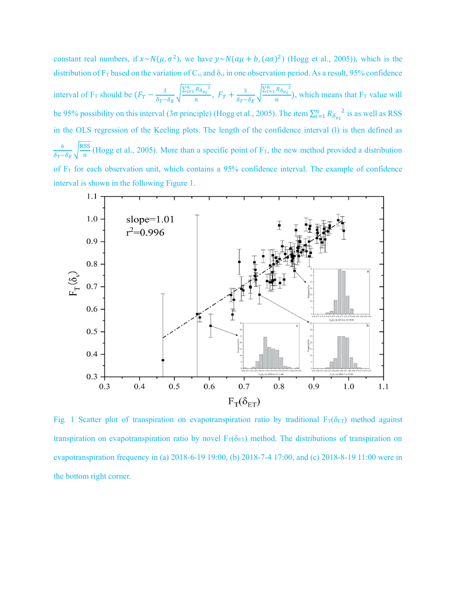constant real numbers, if  $x \sim N(\mu, \sigma^2)$ , we have  $y \sim N(a\mu + b, (a\sigma)^2)$  (Hogg et al., 2005)), which is the distribution of  $F_T$  based on the variation of  $C_{vi}$  and  $\delta_{vi}$  in one observation period. As a result, 95% confidence interval of F<sub>T</sub> should be  $(F_T - \frac{3}{6\pi})$  $\delta_T - \delta_E$  $\sqrt{\frac{\sum_{i=1}^{n} R_{\delta v_i}^2}{n}}$  $\frac{R_{\delta v_i}}{n}$ ,  $F_T + \frac{3}{\delta_T -}$  $\delta_T - \delta_E$  $\sqrt{\frac{\sum_{i=1}^{n} R_{\delta v_i}^2}{n}}$  $\frac{n_{opt}}{n}$ ), which means that F<sub>T</sub> value will be 95% possibility on this interval (3 $\sigma$  principle) (Hogg et al., 2005). The item  $\sum_{i=1}^{n} R_{\delta_{v_i}}^2$  is as well as RSS in the OLS regression of the Keeling plots. The length of the confidence interval (l) is then defined as 6  $\frac{6}{\delta_T - \delta_E} \sqrt{\frac{\text{RSS}}{n}}$  $\frac{35}{n}$  (Hogg et al., 2005). More than a specific point of F<sub>T</sub>, the new method provided a distribution of  $F_T$  for each observation unit, which contains a 95% confidence interval. The example of confidence interval is shown in the following Figure 1.



Fig. 1 Scatter plot of transpiration on evapotranspiration ratio by traditional  $F_T(\delta_{ET})$  method against transpiration on evapotranspiration ratio by novel  $F_T(\delta_{ET})$  method. The distributions of transpiration on evapotranspiration frequency in (a) 2018-6-19 19:00, (b) 2018-7-4 17:00, and (c) 2018-8-19 11:00 were in the bottom right corner.